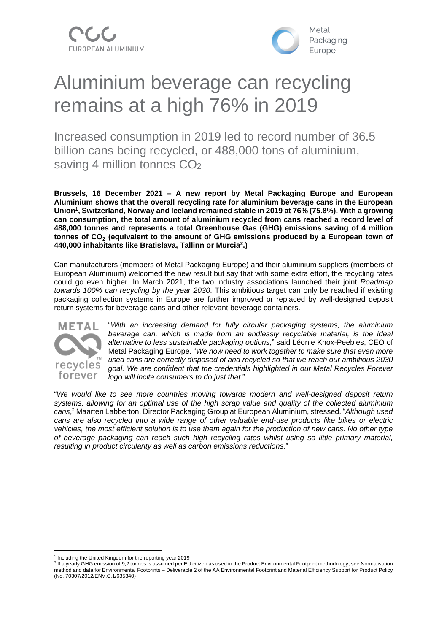



# Aluminium beverage can recycling remains at a high 76% in 2019

Increased consumption in 2019 led to record number of 36.5 billion cans being recycled, or 488,000 tons of aluminium, saving 4 million tonnes CO<sub>2</sub>

**Brussels, 16 December 2021 – A new report by Metal Packaging Europe and European Aluminium shows that the overall recycling rate for aluminium beverage cans in the European Union<sup>1</sup> , Switzerland, Norway and Iceland remained stable in 2019 at 76% (75.8%). With a growing can consumption, the total amount of aluminium recycled from cans reached a record level of 488,000 tonnes and represents a total Greenhouse Gas (GHG) emissions saving of 4 million tonnes of CO**₂ **(equivalent to the amount of GHG emissions produced by a European town of 440,000 inhabitants like Bratislava, Tallinn or Murcia<sup>2</sup> .)**

Can manufacturers (members of Metal Packaging Europe) and their aluminium suppliers (members of European [Aluminium\)](https://www.european-aluminium.eu/) welcomed the new result but say that with some extra effort, the recycling rates could go even higher. In March 2021, the two industry associations launched their joint *Roadmap towards 100% can recycling by the year 2030*. This ambitious target can only be reached if existing packaging collection systems in Europe are further improved or replaced by well-designed deposit return systems for beverage cans and other relevant beverage containers.



"*With an increasing demand for fully circular packaging systems, the aluminium beverage can, which is made from an endlessly recyclable material, is the ideal alternative to less sustainable packaging options,*" said Léonie Knox-Peebles, CEO of Metal Packaging Europe. "*We now need to work together to make sure that even more used cans are correctly disposed of and recycled so that we reach our ambitious 2030 goal. We are confident that the credentials highlighted in our Metal Recycles Forever logo will incite consumers to do just that*."

"*We would like to see more countries moving towards modern and well-designed deposit return systems, allowing for an optimal use of the high scrap value and quality of the collected aluminium cans*," Maarten Labberton, Director Packaging Group at European Aluminium, stressed. "*Although used cans are also recycled into a wide range of other valuable end-use products like bikes or electric* vehicles, the most efficient solution is to use them again for the production of new cans. No other type *of beverage packaging can reach such high recycling rates whilst using so little primary material, resulting in product circularity as well as carbon emissions reductions*."

<sup>&</sup>lt;sup>1</sup> Including the United Kingdom for the reporting year 2019

<sup>&</sup>lt;sup>2</sup> If a yearly GHG emission of 9,2 tonnes is assumed per EU citizen as used in the Product Environmental Footprint methodology, see Normalisation method and data for Environmental Footprints – Deliverable 2 of the AA Environmental Footprint and Material Efficiency Support for Product Policy (No. 70307/2012/ENV.C.1/635340)